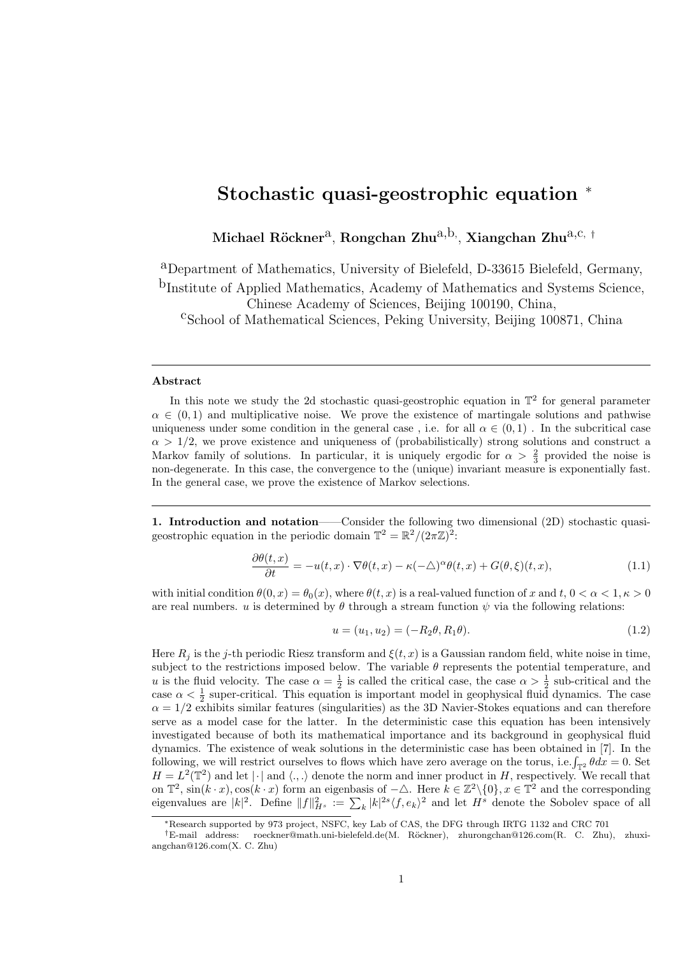## Stochastic quasi-geostrophic equation <sup>∗</sup>

Michael Röckner $^{\rm a}$ , Rongchan Zhu $^{\rm a,b,}$ , Xiangchan Zhu $^{\rm a,c, +}$ 

aDepartment of Mathematics, University of Bielefeld, D-33615 Bielefeld, Germany,

<sup>b</sup>Institute of Applied Mathematics, Academy of Mathematics and Systems Science,

Chinese Academy of Sciences, Beijing 100190, China,

<sup>c</sup>School of Mathematical Sciences, Peking University, Beijing 100871, China

## Abstract

In this note we study the 2d stochastic quasi-geostrophic equation in  $\mathbb{T}^2$  for general parameter  $\alpha \in (0, 1)$  and multiplicative noise. We prove the existence of martingale solutions and pathwise uniqueness under some condition in the general case, i.e. for all  $\alpha \in (0,1)$ . In the subcritical case  $\alpha > 1/2$ , we prove existence and uniqueness of (probabilistically) strong solutions and construct a Markov family of solutions. In particular, it is uniquely ergodic for  $\alpha > \frac{2}{3}$  provided the noise is non-degenerate. In this case, the convergence to the (unique) invariant measure is exponentially fast. In the general case, we prove the existence of Markov selections.

1. Introduction and notation——Consider the following two dimensional (2D) stochastic quasigeostrophic equation in the periodic domain  $\mathbb{T}^2 = \mathbb{R}^2 / (2\pi \mathbb{Z})^2$ :

$$
\frac{\partial \theta(t,x)}{\partial t} = -u(t,x) \cdot \nabla \theta(t,x) - \kappa(-\triangle)^{\alpha} \theta(t,x) + G(\theta,\xi)(t,x),\tag{1.1}
$$

with initial condition  $\theta(0, x) = \theta_0(x)$ , where  $\theta(t, x)$  is a real-valued function of x and t,  $0 < \alpha < 1, \kappa > 0$ are real numbers. u is determined by  $\theta$  through a stream function  $\psi$  via the following relations:

$$
u = (u_1, u_2) = (-R_2 \theta, R_1 \theta). \tag{1.2}
$$

Here  $R_i$  is the j-th periodic Riesz transform and  $\xi(t, x)$  is a Gaussian random field, white noise in time. subject to the restrictions imposed below. The variable  $\theta$  represents the potential temperature, and u is the fluid velocity. The case  $\alpha = \frac{1}{2}$  is called the critical case, the case  $\alpha > \frac{1}{2}$  sub-critical and the case  $\alpha < \frac{1}{2}$  super-critical. This equation is important model in geophysical fluid dynamics. The case  $\alpha = 1/2$  exhibits similar features (singularities) as the 3D Navier-Stokes equations and can therefore serve as a model case for the latter. In the deterministic case this equation has been intensively investigated because of both its mathematical importance and its background in geophysical fluid dynamics. The existence of weak solutions in the deterministic case has been obtained in [7]. In the following, we will restrict ourselves to flows which have zero average on the torus, i.e.  $\int_{\mathbb{T}^2} \theta dx = 0$ . Set  $H = L^2(\mathbb{T}^2)$  and let  $|\cdot|$  and  $\langle.,.\rangle$  denote the norm and inner product in H, respectively. We recall that on  $\mathbb{T}^2$ ,  $\sin(k \cdot x)$ ,  $\cos(k \cdot x)$  form an eigenbasis of  $-\triangle$ . Here  $k \in \mathbb{Z}^2 \setminus \{0\}$ ,  $x \in \mathbb{T}^2$  and the corresponding eigenvalues are  $|k|^2$ . Define  $||f||_{H^s}^2 := \sum_k |k|^{2s} \langle f, e_k \rangle^2$  and let  $H^s$  denote the Sobolev space of all

<sup>∗</sup>Research supported by 973 project, NSFC, key Lab of CAS, the DFG through IRTG 1132 and CRC 701

<sup>†</sup>E-mail address: roeckner@math.uni-bielefeld.de(M. R¨ockner), zhurongchan@126.com(R. C. Zhu), zhuxiangchan@126.com(X. C. Zhu)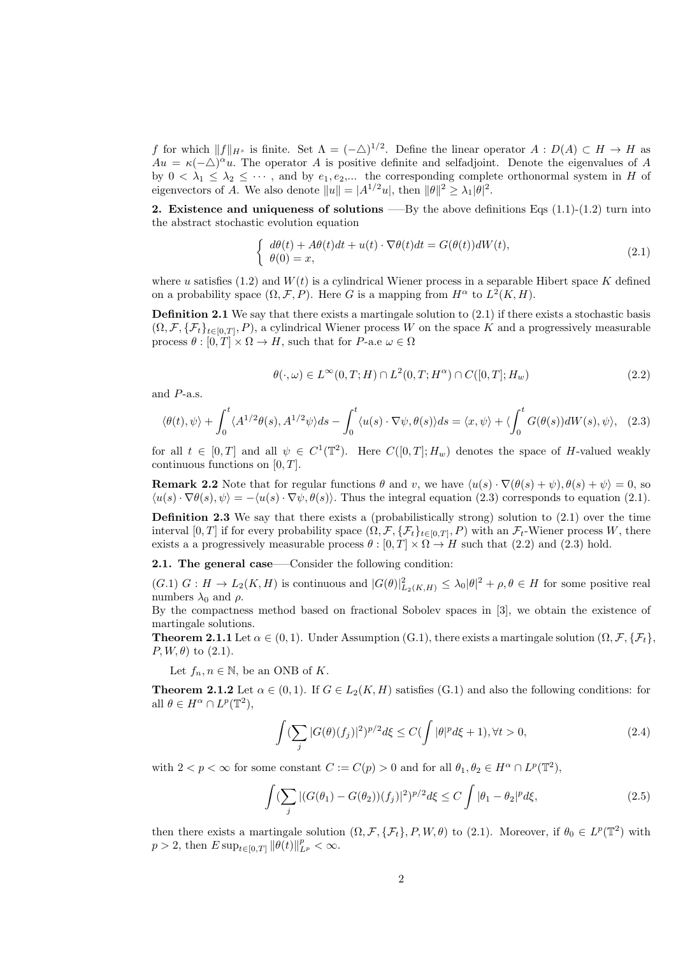f for which  $||f||_{H^s}$  is finite. Set  $\Lambda = (-\triangle)^{1/2}$ . Define the linear operator  $A: D(A) \subset H \to H$  as  $Au = \kappa(-\Delta)^{\alpha}u$ . The operator A is positive definite and selfadjoint. Denote the eigenvalues of A by  $0 < \lambda_1 \leq \lambda_2 \leq \cdots$ , and by  $e_1, e_2, \ldots$  the corresponding complete orthonormal system in H of eigenvectors of A. We also denote  $||u|| = |A^{1/2}u|$ , then  $||\theta||^2 \geq \lambda_1 |\theta|^2$ .

**2.** Existence and uniqueness of solutions —–By the above definitions Eqs  $(1.1)-(1.2)$  turn into the abstract stochastic evolution equation

$$
\begin{cases}\nd\theta(t) + A\theta(t)dt + u(t) \cdot \nabla\theta(t)dt = G(\theta(t))dW(t), \\
\theta(0) = x,\n\end{cases}
$$
\n(2.1)

where u satisfies  $(1.2)$  and  $W(t)$  is a cylindrical Wiener process in a separable Hibert space K defined on a probability space  $(\Omega, \mathcal{F}, P)$ . Here G is a mapping from  $H^{\alpha}$  to  $L^2(K, H)$ .

**Definition 2.1** We say that there exists a martingale solution to  $(2.1)$  if there exists a stochastic basis  $(\Omega, \mathcal{F}, \{\mathcal{F}_t\}_{t\in[0,T]}, P)$ , a cylindrical Wiener process W on the space K and a progressively measurable process  $\theta : [0, T] \times \Omega \to H$ , such that for P-a.e  $\omega \in \Omega$ 

$$
\theta(\cdot,\omega) \in L^{\infty}(0,T;H) \cap L^{2}(0,T;H^{\alpha}) \cap C([0,T];H_w)
$$
\n
$$
(2.2)
$$

and P-a.s.

$$
\langle \theta(t), \psi \rangle + \int_0^t \langle A^{1/2} \theta(s), A^{1/2} \psi \rangle ds - \int_0^t \langle u(s) \cdot \nabla \psi, \theta(s) \rangle ds = \langle x, \psi \rangle + \langle \int_0^t G(\theta(s)) dW(s), \psi \rangle, \tag{2.3}
$$

for all  $t \in [0,T]$  and all  $\psi \in C^1(\mathbb{T}^2)$ . Here  $C([0,T]; H_w)$  denotes the space of H-valued weakly continuous functions on  $[0, T]$ .

**Remark 2.2** Note that for regular functions  $\theta$  and v, we have  $\langle u(s) \cdot \nabla(\theta(s) + \psi), \theta(s) + \psi \rangle = 0$ , so  $\langle u(s) \cdot \nabla \theta(s), \psi \rangle = -\langle u(s) \cdot \nabla \psi, \theta(s) \rangle$ . Thus the integral equation (2.3) corresponds to equation (2.1).

Definition 2.3 We say that there exists a (probabilistically strong) solution to (2.1) over the time interval  $[0,T]$  if for every probability space  $(\Omega, \mathcal{F}, \{\mathcal{F}_t\}_{t\in[0,T]}, P)$  with an  $\mathcal{F}_t$ -Wiener process W, there exists a a progressively measurable process  $\theta : [0, T] \times \Omega \rightarrow H$  such that (2.2) and (2.3) hold.

2.1. The general case—–Consider the following condition:

 $(G.1)$   $G: H \to L_2(K, H)$  is continuous and  $|G(\theta)|^2_{L_2(K, H)} \leq \lambda_0 |\theta|^2 + \rho, \theta \in H$  for some positive real numbers  $\lambda_0$  and  $\rho$ .

By the compactness method based on fractional Sobolev spaces in [3], we obtain the existence of martingale solutions.

**Theorem 2.1.1** Let  $\alpha \in (0,1)$ . Under Assumption (G.1), there exists a martingale solution  $(\Omega, \mathcal{F}, {\mathcal{F}_t}$ ,  $P, W, \theta)$  to  $(2.1)$ .

Let  $f_n, n \in \mathbb{N}$ , be an ONB of K.

**Theorem 2.1.2** Let  $\alpha \in (0,1)$ . If  $G \in L_2(K,H)$  satisfies  $(G.1)$  and also the following conditions: for all  $\theta \in H^{\alpha} \cap L^{p}(\mathbb{T}^{2}),$ 

$$
\int (\sum_{j} |G(\theta)(f_j)|^2)^{p/2} d\xi \le C(\int |\theta|^p d\xi + 1), \forall t > 0,
$$
\n(2.4)

with  $2 < p < \infty$  for some constant  $C := C(p) > 0$  and for all  $\theta_1, \theta_2 \in H^{\alpha} \cap L^p(\mathbb{T}^2)$ ,

$$
\int (\sum_{j} |(G(\theta_1) - G(\theta_2))(f_j)|^2)^{p/2} d\xi \le C \int |\theta_1 - \theta_2|^p d\xi,
$$
\n(2.5)

then there exists a martingale solution  $(\Omega, \mathcal{F}, \{\mathcal{F}_t\}, P, W, \theta)$  to  $(2.1)$ . Moreover, if  $\theta_0 \in L^p(\mathbb{T}^2)$  with  $p > 2$ , then  $E \sup_{t \in [0,T]} ||\theta(t)||_{L^p}^p < \infty$ .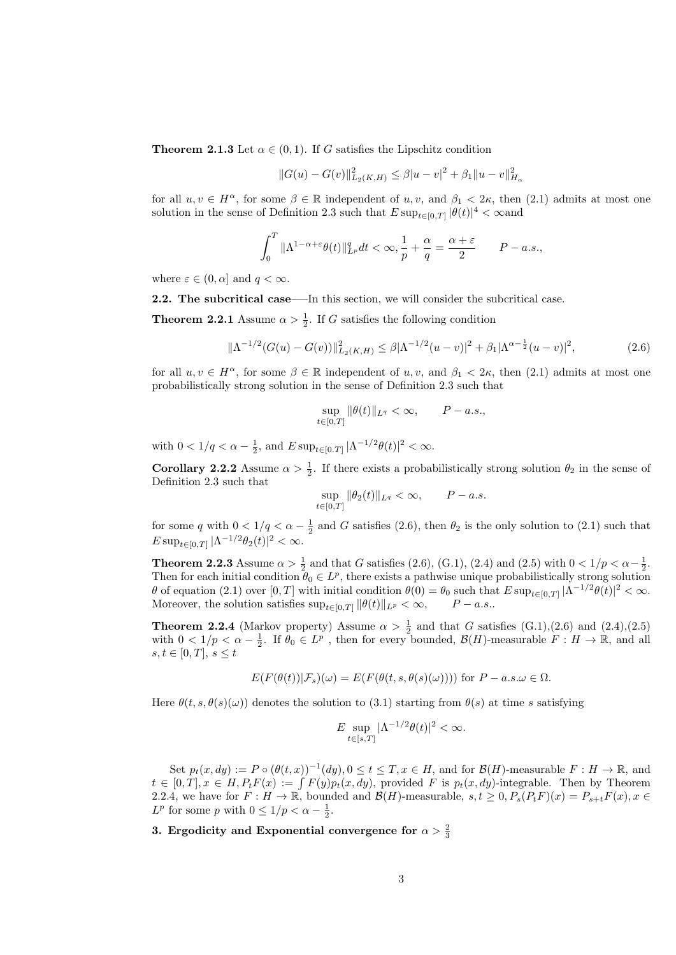**Theorem 2.1.3** Let  $\alpha \in (0,1)$ . If G satisfies the Lipschitz condition

$$
||G(u) - G(v)||_{L_2(K,H)}^2 \le \beta |u - v|^2 + \beta_1 ||u - v||_{H_\alpha}^2
$$

for all  $u, v \in H^{\alpha}$ , for some  $\beta \in \mathbb{R}$  independent of  $u, v$ , and  $\beta_1 < 2\kappa$ , then  $(2.1)$  admits at most one solution in the sense of Definition 2.3 such that  $E \sup_{t \in [0,T]} |\theta(t)|^4 < \infty$  and

$$
\int_0^T \|\Lambda^{1-\alpha+\varepsilon}\theta(t)\|_{L^p}^q dt < \infty, \frac{1}{p} + \frac{\alpha}{q} = \frac{\alpha+\varepsilon}{2} \qquad P-a.s.,
$$

where  $\varepsilon \in (0, \alpha]$  and  $q < \infty$ .

2.2. The subcritical case—–In this section, we will consider the subcritical case.

**Theorem 2.2.1** Assume  $\alpha > \frac{1}{2}$ . If G satisfies the following condition

$$
\|\Lambda^{-1/2}(G(u) - G(v))\|_{L_2(K,H)}^2 \le \beta|\Lambda^{-1/2}(u - v)|^2 + \beta_1|\Lambda^{\alpha - \frac{1}{2}}(u - v)|^2,
$$
\n(2.6)

for all  $u, v \in H^{\alpha}$ , for some  $\beta \in \mathbb{R}$  independent of  $u, v$ , and  $\beta_1 < 2\kappa$ , then (2.1) admits at most one probabilistically strong solution in the sense of Definition 2.3 such that

$$
\sup_{t\in[0,T]}\|\theta(t)\|_{L^q}<\infty, \qquad P-a.s.,
$$

with  $0 < 1/q < \alpha - \frac{1}{2}$ , and  $E \sup_{t \in [0,T]} |\Lambda^{-1/2}\theta(t)|^2 < \infty$ .

**Corollary 2.2.2** Assume  $\alpha > \frac{1}{2}$ . If there exists a probabilistically strong solution  $\theta_2$  in the sense of Definition 2.3 such that

$$
\sup_{t \in [0,T]} \|\theta_2(t)\|_{L^q} < \infty, \qquad P-a.s.
$$

for some q with  $0 < 1/q < \alpha - \frac{1}{2}$  and G satisfies (2.6), then  $\theta_2$  is the only solution to (2.1) such that  $E \sup_{t \in [0,T]} |\Lambda^{-1/2} \theta_2(t)|^2 < \infty.$ 

**Theorem 2.2.3** Assume  $\alpha > \frac{1}{2}$  and that G satisfies (2.6), (G.1), (2.4) and (2.5) with  $0 < 1/p < \alpha - \frac{1}{2}$ . Then for each initial condition  $\theta_0 \in L^p$ , there exists a pathwise unique probabilistically strong solution  $\theta$  of equation (2.1) over [0, T] with initial condition  $\theta(0) = \theta_0$  such that  $E \sup_{t \in [0,T]} |\Lambda^{-1/2} \theta(t)|^2 < \infty$ . Moreover, the solution satisfies  $\sup_{t\in[0,T]}\|\theta(t)\|_{L^p}<\infty, \qquad P-a.s..$ 

**Theorem 2.2.4** (Markov property) Assume  $\alpha > \frac{1}{2}$  and that G satisfies (G.1),(2.6) and (2.4),(2.5) with  $0 < 1/p < \alpha - \frac{1}{2}$ . If  $\theta_0 \in L^p$ , then for every bounded,  $\mathcal{B}(H)$ -measurable  $F: H \to \mathbb{R}$ , and all  $s, t \in [0, T], s \leq t$ 

$$
E(F(\theta(t))|\mathcal{F}_s)(\omega) = E(F(\theta(t,s,\theta(s)(\omega)))) \text{ for } P - a.s.\omega \in \Omega.
$$

Here  $\theta(t, s, \theta(s)(\omega))$  denotes the solution to (3.1) starting from  $\theta(s)$  at time s satisfying

$$
E \sup_{t \in [s,T]} |\Lambda^{-1/2}\theta(t)|^2 < \infty.
$$

Set  $p_t(x, dy) := P \circ (\theta(t, x))^{-1}(dy), 0 \le t \le T, x \in H$ , and for  $\mathcal{B}(H)$ -measurable  $F : H \to \mathbb{R}$ , and  $t \in [0,T], x \in H, P_t F(x) := \int F(y) p_t(x, dy)$ , provided F is  $p_t(x, dy)$ -integrable. Then by Theorem 2.2.4, we have for  $F: H \to \mathbb{R}$ , bounded and  $\mathcal{B}(H)$ -measurable,  $s, t \geq 0$ ,  $P_s(P_tF)(x) = P_{s+t}F(x)$ ,  $x \in$  $L^p$  for some p with  $0 \leq 1/p < \alpha - \frac{1}{2}$ .

3. Ergodicity and Exponential convergence for  $\alpha > \frac{2}{3}$